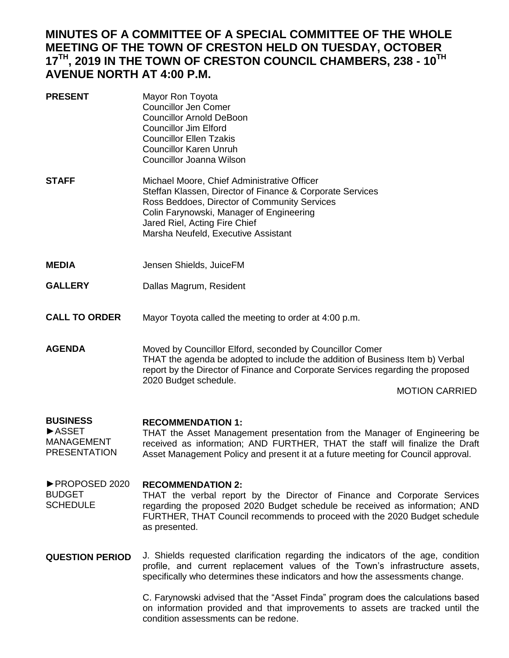## **MINUTES OF A COMMITTEE OF A SPECIAL COMMITTEE OF THE WHOLE MEETING OF THE TOWN OF CRESTON HELD ON TUESDAY, OCTOBER 17 TH, 2019 IN THE TOWN OF CRESTON COUNCIL CHAMBERS, 238 - 10TH AVENUE NORTH AT 4:00 P.M.**

- **PRESENT** Mayor Ron Toyota Councillor Jen Comer Councillor Arnold DeBoon Councillor Jim Elford Councillor Ellen Tzakis Councillor Karen Unruh Councillor Joanna Wilson **STAFF** Michael Moore, Chief Administrative Officer Steffan Klassen, Director of Finance & Corporate Services Ross Beddoes, Director of Community Services Colin Farynowski, Manager of Engineering Jared Riel, Acting Fire Chief Marsha Neufeld, Executive Assistant
- **MEDIA** Jensen Shields, JuiceFM
- **GALLERY** Dallas Magrum, Resident
- **CALL TO ORDER** Mayor Toyota called the meeting to order at 4:00 p.m.
- **AGENDA** Moved by Councillor Elford, seconded by Councillor Comer THAT the agenda be adopted to include the addition of Business Item b) Verbal report by the Director of Finance and Corporate Services regarding the proposed 2020 Budget schedule.

MOTION CARRIED

## **BUSINESS RECOMMENDATION 1:**

►ASSET MANAGEMENT PRESENTATION THAT the Asset Management presentation from the Manager of Engineering be received as information; AND FURTHER, THAT the staff will finalize the Draft Asset Management Policy and present it at a future meeting for Council approval.

- ►PROPOSED 2020 BUDGET SCHEDULE **RECOMMENDATION 2:** THAT the verbal report by the Director of Finance and Corporate Services regarding the proposed 2020 Budget schedule be received as information; AND FURTHER, THAT Council recommends to proceed with the 2020 Budget schedule as presented.
- **QUESTION PERIOD** J. Shields requested clarification regarding the indicators of the age, condition profile, and current replacement values of the Town's infrastructure assets, specifically who determines these indicators and how the assessments change.

C. Farynowski advised that the "Asset Finda" program does the calculations based on information provided and that improvements to assets are tracked until the condition assessments can be redone.